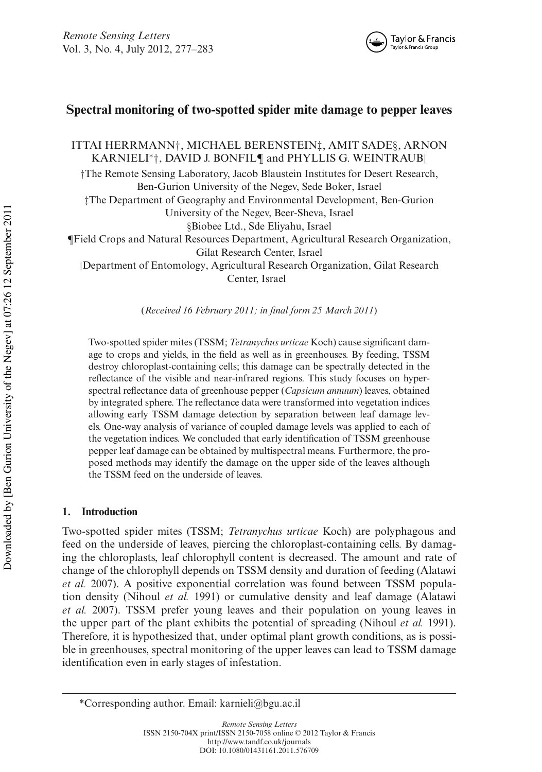

# **Spectral monitoring of two-spotted spider mite damage to pepper leaves**

ITTAI HERRMANN†, MICHAEL BERENSTEIN‡, AMIT SADE§, ARNON KARNIELI<sup>∗</sup> †, DAVID J. BONFIL¶ and PHYLLIS G. WEINTRAUB|

†The Remote Sensing Laboratory, Jacob Blaustein Institutes for Desert Research, Ben-Gurion University of the Negev, Sede Boker, Israel

‡The Department of Geography and Environmental Development, Ben-Gurion

University of the Negev, Beer-Sheva, Israel

§Biobee Ltd., Sde Eliyahu, Israel

¶Field Crops and Natural Resources Department, Agricultural Research Organization,

Gilat Research Center, Israel

|Department of Entomology, Agricultural Research Organization, Gilat Research Center, Israel

(*Received 16 February 2011; in final form 25 March 2011*)

Two-spotted spider mites (TSSM; *Tetranychus urticae* Koch) cause significant damage to crops and yields, in the field as well as in greenhouses. By feeding, TSSM destroy chloroplast-containing cells; this damage can be spectrally detected in the reflectance of the visible and near-infrared regions. This study focuses on hyperspectral reflectance data of greenhouse pepper (*Capsicum annuum*) leaves, obtained by integrated sphere. The reflectance data were transformed into vegetation indices allowing early TSSM damage detection by separation between leaf damage levels. One-way analysis of variance of coupled damage levels was applied to each of the vegetation indices. We concluded that early identification of TSSM greenhouse pepper leaf damage can be obtained by multispectral means. Furthermore, the proposed methods may identify the damage on the upper side of the leaves although the TSSM feed on the underside of leaves.

# **1. Introduction**

Two-spotted spider mites (TSSM; *Tetranychus urticae* Koch) are polyphagous and feed on the underside of leaves, piercing the chloroplast-containing cells. By damaging the chloroplasts, leaf chlorophyll content is decreased. The amount and rate of change of the chlorophyll depends on TSSM density and duration of feeding (Alatawi *et al.* 2007). A positive exponential correlation was found between TSSM population density (Nihoul *et al.* 1991) or cumulative density and leaf damage (Alatawi *et al.* 2007). TSSM prefer young leaves and their population on young leaves in the upper part of the plant exhibits the potential of spreading (Nihoul *et al.* 1991). Therefore, it is hypothesized that, under optimal plant growth conditions, as is possible in greenhouses, spectral monitoring of the upper leaves can lead to TSSM damage identification even in early stages of infestation.

<sup>\*</sup>Corresponding author. Email: karnieli@bgu.ac.il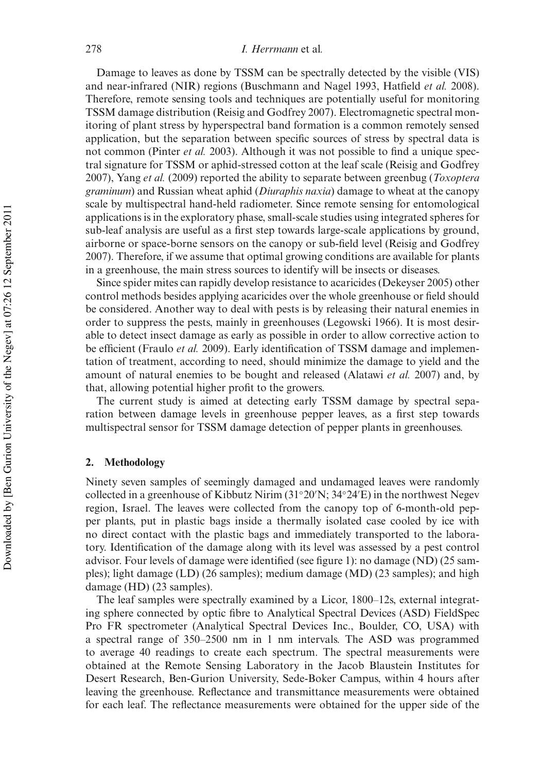# 278 *I. Herrmann* et al*.*

Damage to leaves as done by TSSM can be spectrally detected by the visible (VIS) and near-infrared (NIR) regions (Buschmann and Nagel 1993, Hatfield *et al.* 2008). Therefore, remote sensing tools and techniques are potentially useful for monitoring TSSM damage distribution (Reisig and Godfrey 2007). Electromagnetic spectral monitoring of plant stress by hyperspectral band formation is a common remotely sensed application, but the separation between specific sources of stress by spectral data is not common (Pinter *et al.* 2003). Although it was not possible to find a unique spectral signature for TSSM or aphid-stressed cotton at the leaf scale (Reisig and Godfrey 2007), Yang *et al.* (2009) reported the ability to separate between greenbug (*Toxoptera graminum*) and Russian wheat aphid (*Diuraphis naxia*) damage to wheat at the canopy scale by multispectral hand-held radiometer. Since remote sensing for entomological applications is in the exploratory phase, small-scale studies using integrated spheres for sub-leaf analysis are useful as a first step towards large-scale applications by ground, airborne or space-borne sensors on the canopy or sub-field level (Reisig and Godfrey 2007). Therefore, if we assume that optimal growing conditions are available for plants in a greenhouse, the main stress sources to identify will be insects or diseases.

Since spider mites can rapidly develop resistance to acaricides (Dekeyser 2005) other control methods besides applying acaricides over the whole greenhouse or field should be considered. Another way to deal with pests is by releasing their natural enemies in order to suppress the pests, mainly in greenhouses (Legowski 1966). It is most desirable to detect insect damage as early as possible in order to allow corrective action to be efficient (Fraulo *et al.* 2009). Early identification of TSSM damage and implementation of treatment, according to need, should minimize the damage to yield and the amount of natural enemies to be bought and released (Alatawi *et al.* 2007) and, by that, allowing potential higher profit to the growers.

The current study is aimed at detecting early TSSM damage by spectral separation between damage levels in greenhouse pepper leaves, as a first step towards multispectral sensor for TSSM damage detection of pepper plants in greenhouses.

#### **2. Methodology**

Ninety seven samples of seemingly damaged and undamaged leaves were randomly collected in a greenhouse of Kibbutz Nirim (31◦20′N; 34◦24′E) in the northwest Negev region, Israel. The leaves were collected from the canopy top of 6-month-old pepper plants, put in plastic bags inside a thermally isolated case cooled by ice with no direct contact with the plastic bags and immediately transported to the laboratory. Identification of the damage along with its level was assessed by a pest control advisor. Four levels of damage were identified (see figure 1): no damage (ND) (25 samples); light damage (LD) (26 samples); medium damage (MD) (23 samples); and high damage (HD) (23 samples).

The leaf samples were spectrally examined by a Licor, 1800–12s, external integrating sphere connected by optic fibre to Analytical Spectral Devices (ASD) FieldSpec Pro FR spectrometer (Analytical Spectral Devices Inc., Boulder, CO, USA) with a spectral range of 350–2500 nm in 1 nm intervals. The ASD was programmed to average 40 readings to create each spectrum. The spectral measurements were obtained at the Remote Sensing Laboratory in the Jacob Blaustein Institutes for Desert Research, Ben-Gurion University, Sede-Boker Campus, within 4 hours after leaving the greenhouse. Reflectance and transmittance measurements were obtained for each leaf. The reflectance measurements were obtained for the upper side of the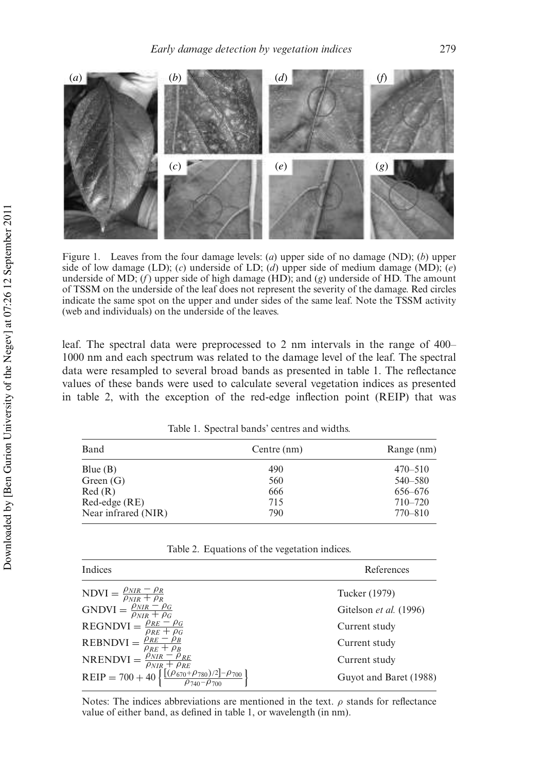

Figure 1. Leaves from the four damage levels: (*a*) upper side of no damage (ND); (*b*) upper side of low damage (LD); (*c*) underside of LD; (*d*) upper side of medium damage (MD); (*e*) underside of MD; (*f*) upper side of high damage (HD); and (*g*) underside of HD. The amount of TSSM on the underside of the leaf does not represent the severity of the damage. Red circles indicate the same spot on the upper and under sides of the same leaf. Note the TSSM activity (web and individuals) on the underside of the leaves.

leaf. The spectral data were preprocessed to 2 nm intervals in the range of 400– 1000 nm and each spectrum was related to the damage level of the leaf. The spectral data were resampled to several broad bands as presented in table 1. The reflectance values of these bands were used to calculate several vegetation indices as presented in table 2, with the exception of the red-edge inflection point (REIP) that was

| Band                | Centre (nm) | Range (nm)<br>$470 - 510$ |  |
|---------------------|-------------|---------------------------|--|
| Blue $(B)$          | 490         |                           |  |
| Green $(G)$         | 560         | $540 - 580$               |  |
| Red(R)              | 666         | 656–676                   |  |
| $Red-edge (RE)$     | 715         | $710 - 720$               |  |
| Near infrared (NIR) | 790         | 770-810                   |  |

Table 1. Spectral bands' centres and widths.

Table 2. Equations of the vegetation indices.

| Indices                                                                                                                                                                            | References             |
|------------------------------------------------------------------------------------------------------------------------------------------------------------------------------------|------------------------|
|                                                                                                                                                                                    | Tucker (1979)          |
| NDVI = $\frac{\rho_{NIR} - \rho_R}{\rho_{NIR} + \rho_R}$<br>GNDVI = $\frac{\rho_{NIR} - \rho_G}{\rho_{NIR} + \rho_G}$                                                              | Gitelson et al. (1996) |
| $\text{REGNDVI} = \frac{\rho_{RE} - \rho_G}{\rho_{RE} + \rho_G}$                                                                                                                   | Current study          |
| REBNDVI = $\frac{\rho_{RE} - \rho_B}{\rho_{RE} + \rho_B}$                                                                                                                          | Current study          |
|                                                                                                                                                                                    | Current study          |
| NRENDVI = $\frac{\rho_{NIR} - \rho_{RE}}{\rho_{NIR} + \rho_{RE}}$<br>REIP = 700 + 40 $\left\{ \frac{[(\rho_{670} + \rho_{780})/2] - \rho_{700}}{\rho_{740} - \rho_{700}} \right\}$ | Guyot and Baret (1988) |

Notes: The indices abbreviations are mentioned in the text.  $\rho$  stands for reflectance value of either band, as defined in table 1, or wavelength (in nm).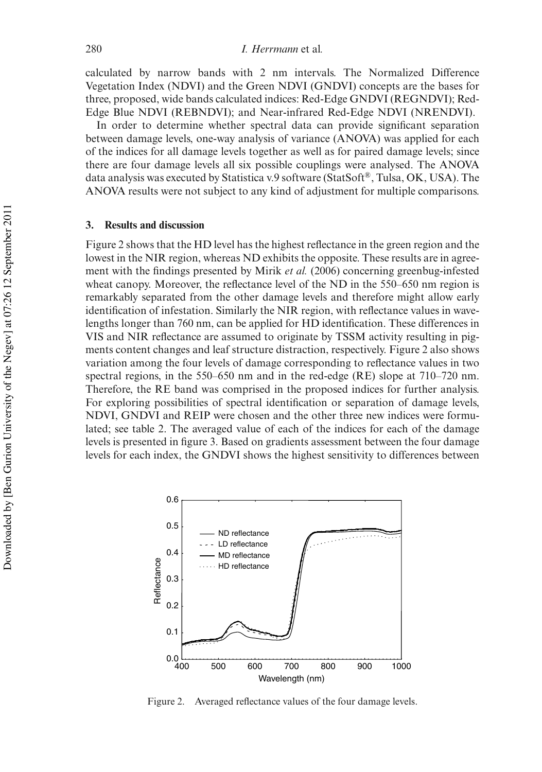calculated by narrow bands with 2 nm intervals. The Normalized Difference Vegetation Index (NDVI) and the Green NDVI (GNDVI) concepts are the bases for three, proposed, wide bands calculated indices: Red-Edge GNDVI (REGNDVI); Red-Edge Blue NDVI (REBNDVI); and Near-infrared Red-Edge NDVI (NRENDVI).

In order to determine whether spectral data can provide significant separation between damage levels, one-way analysis of variance (ANOVA) was applied for each of the indices for all damage levels together as well as for paired damage levels; since there are four damage levels all six possible couplings were analysed. The ANOVA data analysis was executed by Statistica v.9 software (StatSoft®, Tulsa, OK, USA). The ANOVA results were not subject to any kind of adjustment for multiple comparisons.

# **3. Results and discussion**

Figure 2 shows that the HD level has the highest reflectance in the green region and the lowest in the NIR region, whereas ND exhibits the opposite. These results are in agreement with the findings presented by Mirik *et al.* (2006) concerning greenbug-infested wheat canopy. Moreover, the reflectance level of the ND in the 550–650 nm region is remarkably separated from the other damage levels and therefore might allow early identification of infestation. Similarly the NIR region, with reflectance values in wavelengths longer than 760 nm, can be applied for HD identification. These differences in VIS and NIR reflectance are assumed to originate by TSSM activity resulting in pigments content changes and leaf structure distraction, respectively. Figure 2 also shows variation among the four levels of damage corresponding to reflectance values in two spectral regions, in the 550–650 nm and in the red-edge (RE) slope at 710–720 nm. Therefore, the RE band was comprised in the proposed indices for further analysis. For exploring possibilities of spectral identification or separation of damage levels, NDVI, GNDVI and REIP were chosen and the other three new indices were formulated; see table 2. The averaged value of each of the indices for each of the damage levels is presented in figure 3. Based on gradients assessment between the four damage levels for each index, the GNDVI shows the highest sensitivity to differences between



Figure 2. Averaged reflectance values of the four damage levels.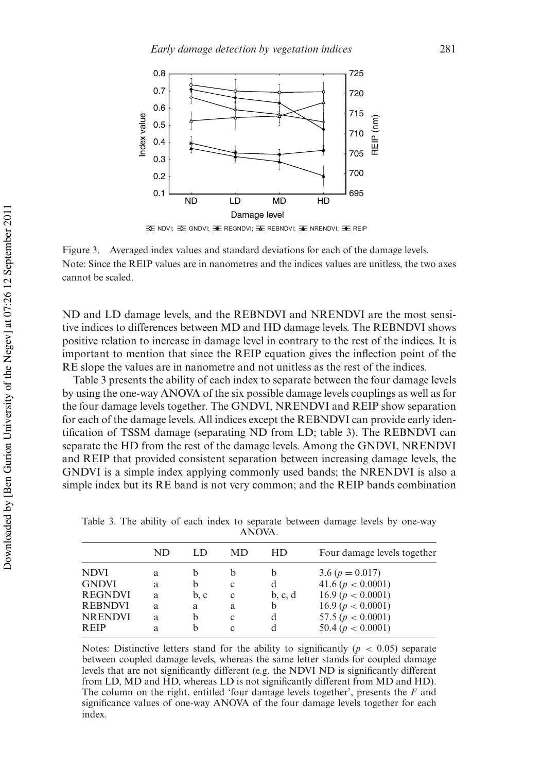

Figure 3. Averaged index values and standard deviations for each of the damage levels. Note: Since the REIP values are in nanometres and the indices values are unitless, the two axes cannot be scaled.

ND and LD damage levels, and the REBNDVI and NRENDVI are the most sensitive indices to differences between MD and HD damage levels. The REBNDVI shows positive relation to increase in damage level in contrary to the rest of the indices. It is important to mention that since the REIP equation gives the inflection point of the RE slope the values are in nanometre and not unitless as the rest of the indices.

Table 3 presents the ability of each index to separate between the four damage levels by using the one-way ANOVA of the six possible damage levels couplings as well as for the four damage levels together. The GNDVI, NRENDVI and REIP show separation for each of the damage levels. All indices except the REBNDVI can provide early identification of TSSM damage (separating ND from LD; table 3). The REBNDVI can separate the HD from the rest of the damage levels. Among the GNDVI, NRENDVI and REIP that provided consistent separation between increasing damage levels, the GNDVI is a simple index applying commonly used bands; the NRENDVI is also a simple index but its RE band is not very common; and the REIP bands combination

|                | ND | LD   | MD | HD      | Four damage levels together |
|----------------|----|------|----|---------|-----------------------------|
| <b>NDVI</b>    | a  | b    | b  | b       | $3.6 (p = 0.017)$           |
| <b>GNDVI</b>   | a  | b    | c  | d       | 41.6 ( $p < 0.0001$ )       |
| <b>REGNDVI</b> | a  | b, c | c  | b, c, d | 16.9 ( $p < 0.0001$ )       |
| <b>REBNDVI</b> | a  | a    | a  | b       | 16.9 ( $p < 0.0001$ )       |
| <b>NRENDVI</b> | a  | b    | c  | d       | 57.5 ( $p < 0.0001$ )       |
| <b>REIP</b>    | a  | b    | c  | d       | 50.4 ( $p < 0.0001$ )       |
|                |    |      |    |         |                             |

Table 3. The ability of each index to separate between damage levels by one-way ANOVA.

Notes: Distinctive letters stand for the ability to significantly  $(p < 0.05)$  separate between coupled damage levels, whereas the same letter stands for coupled damage levels that are not significantly different (e.g. the NDVI ND is significantly different from LD, MD and HD, whereas LD is not significantly different from MD and HD). The column on the right, entitled 'four damage levels together', presents the *F* and significance values of one-way ANOVA of the four damage levels together for each index.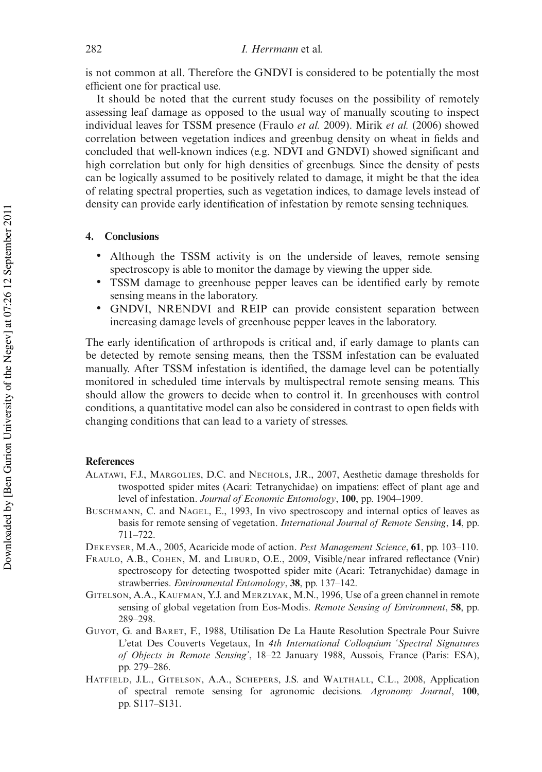is not common at all. Therefore the GNDVI is considered to be potentially the most efficient one for practical use.

It should be noted that the current study focuses on the possibility of remotely assessing leaf damage as opposed to the usual way of manually scouting to inspect individual leaves for TSSM presence (Fraulo *et al.* 2009). Mirik *et al.* (2006) showed correlation between vegetation indices and greenbug density on wheat in fields and concluded that well-known indices (e.g. NDVI and GNDVI) showed significant and high correlation but only for high densities of greenbugs. Since the density of pests can be logically assumed to be positively related to damage, it might be that the idea of relating spectral properties, such as vegetation indices, to damage levels instead of density can provide early identification of infestation by remote sensing techniques.

# **4. Conclusions**

- Although the TSSM activity is on the underside of leaves, remote sensing spectroscopy is able to monitor the damage by viewing the upper side.
- TSSM damage to greenhouse pepper leaves can be identified early by remote sensing means in the laboratory.
- GNDVI, NRENDVI and REIP can provide consistent separation between increasing damage levels of greenhouse pepper leaves in the laboratory.

The early identification of arthropods is critical and, if early damage to plants can be detected by remote sensing means, then the TSSM infestation can be evaluated manually. After TSSM infestation is identified, the damage level can be potentially monitored in scheduled time intervals by multispectral remote sensing means. This should allow the growers to decide when to control it. In greenhouses with control conditions, a quantitative model can also be considered in contrast to open fields with changing conditions that can lead to a variety of stresses.

#### **References**

- ALATAWI, F.J., MARGOLIES, D.C. and NECHOLS, J.R., 2007, Aesthetic damage thresholds for twospotted spider mites (Acari: Tetranychidae) on impatiens: effect of plant age and level of infestation. *Journal of Economic Entomology*, **100**, pp. 1904–1909.
- BUSCHMANN, C. and NAGEL, E., 1993, In vivo spectroscopy and internal optics of leaves as basis for remote sensing of vegetation. *International Journal of Remote Sensing*, **14**, pp. 711–722.
- DEKEYSER, M.A., 2005, Acaricide mode of action. *Pest Management Science*, **61**, pp. 103–110.
- FRAULO, A.B., COHEN, M. and LIBURD, O.E., 2009, Visible/near infrared reflectance (Vnir) spectroscopy for detecting twospotted spider mite (Acari: Tetranychidae) damage in strawberries. *Environmental Entomology*, **38**, pp. 137–142.
- GITELSON, A.A., KAUFMAN, Y.J. and MERZLYAK, M.N., 1996, Use of a green channel in remote sensing of global vegetation from Eos-Modis. *Remote Sensing of Environment*, **58**, pp. 289–298.
- GUYOT, G. and BARET, F., 1988, Utilisation De La Haute Resolution Spectrale Pour Suivre L'etat Des Couverts Vegetaux, In *4th International Colloquium 'Spectral Signatures of Objects in Remote Sensing'*, 18–22 January 1988, Aussois, France (Paris: ESA), pp. 279–286.
- HATFIELD, J.L., GITELSON, A.A., SCHEPERS, J.S. and WALTHALL, C.L., 2008, Application of spectral remote sensing for agronomic decisions. *Agronomy Journal*, **100**, pp. S117–S131.